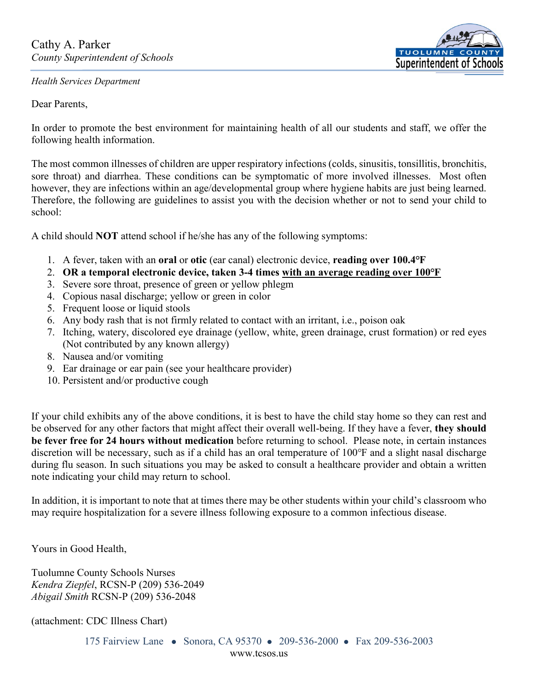## *Health Services Department*

Dear Parents,

**TUOLUMN** Superintendent of Schoo

In order to promote the best environment for maintaining health of all our students and staff, we offer the following health information.

The most common illnesses of children are upper respiratory infections (colds, sinusitis, tonsillitis, bronchitis, sore throat) and diarrhea. These conditions can be symptomatic of more involved illnesses. Most often however, they are infections within an age/developmental group where hygiene habits are just being learned. Therefore, the following are guidelines to assist you with the decision whether or not to send your child to school:

A child should **NOT** attend school if he/she has any of the following symptoms:

- 1. A fever, taken with an **oral** or **otic** (ear canal) electronic device, **reading over 100.4℉**
- 2. **OR a temporal electronic device, taken 3-4 times with an average reading over 100℉**
- 3. Severe sore throat, presence of green or yellow phlegm
- 4. Copious nasal discharge; yellow or green in color
- 5. Frequent loose or liquid stools
- 6. Any body rash that is not firmly related to contact with an irritant, i.e., poison oak
- 7. Itching, watery, discolored eye drainage (yellow, white, green drainage, crust formation) or red eyes (Not contributed by any known allergy)
- 8. Nausea and/or vomiting
- 9. Ear drainage or ear pain (see your healthcare provider)
- 10. Persistent and/or productive cough

If your child exhibits any of the above conditions, it is best to have the child stay home so they can rest and be observed for any other factors that might affect their overall well-being. If they have a fever, **they should be fever free for 24 hours without medication** before returning to school. Please note, in certain instances discretion will be necessary, such as if a child has an oral temperature of 100°F and a slight nasal discharge during flu season. In such situations you may be asked to consult a healthcare provider and obtain a written note indicating your child may return to school.

In addition, it is important to note that at times there may be other students within your child's classroom who may require hospitalization for a severe illness following exposure to a common infectious disease.

Yours in Good Health,

Tuolumne County Schools Nurses *Kendra Ziepfel*, RCSN-P (209) 536-2049 *Abigail Smith* RCSN-P (209) 536-2048

(attachment: CDC Illness Chart)

175 Fairview Lane • Sonora, CA 95370 • 209-536-2000 • Fax 209-536-2003 www.tcsos.us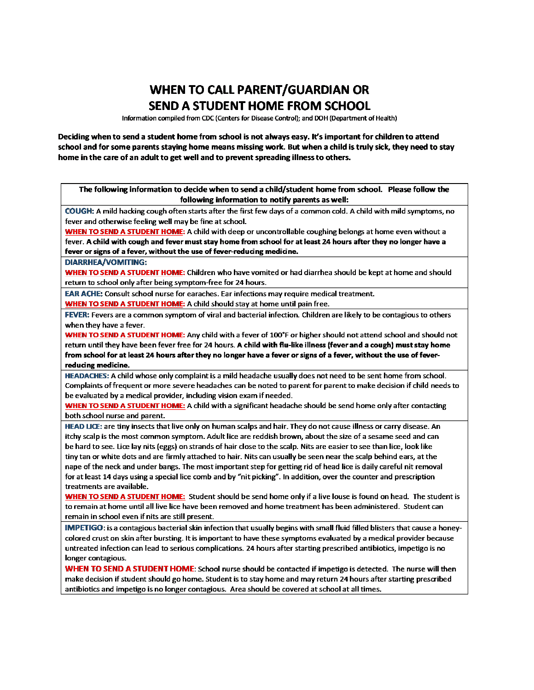## **WHEN TO CALL PARENT/GUARDIAN OR SEND A STUDENT HOME FROM SCHOOL**

Information compiled from CDC (Centers for Disease Control): and DOH (Department of Health)

Deciding when to send a student home from school is not always easy. It's important for children to attend school and for some parents staying home means missing work. But when a child is truly sick, they need to stay home in the care of an adult to get well and to prevent spreading illness to others.

The following information to decide when to send a child/student home from school. Please follow the following information to notify parents as well:

COUGH: A mild hacking cough often starts after the first few days of a common cold. A child with mild symptoms, no fever and otherwise feeling well may be fine at school.

WHEN TO SEND A STUDENT HOME: A child with deep or uncontrollable coughing belongs at home even without a fever. A child with cough and fever must stay home from school for at least 24 hours after they no longer have a fever or signs of a fever, without the use of fever-reducing medicine.

## **DIARRHEA/VOMITING:**

WHEN TO SEND A STUDENT HOME: Children who have vomited or had diarrhea should be kept at home and should return to school only after being symptom-free for 24 hours.

**EAR ACHE:** Consult school nurse for earaches. Ear infections may require medical treatment.

**WHEN TO SEND A STUDENT HOME:** A child should stay at home until pain free.

FEVER: Fevers are a common symptom of viral and bacterial infection. Children are likely to be contagious to others when they have a fever.

WHEN TO SEND A STUDENT HOME: Any child with a fever of 100°F or higher should not attend school and should not return until they have been fever free for 24 hours. A child with flu-like illness (fever and a cough) must stay home from school for at least 24 hours after they no longer have a fever or signs of a fever, without the use of feverreducing medicine.

HEADACHES: A child whose only complaint is a mild headache usually does not need to be sent home from school. Complaints of frequent or more severe headaches can be noted to parent for parent to make decision if child needs to be evaluated by a medical provider, including vision exam if needed.

WHEN TO SEND A STUDENT HOME: A child with a significant headache should be send home only after contacting both school nurse and parent.

HEAD LICE: are tiny insects that live only on human scalps and hair. They do not cause illness or carry disease. An itchy scalp is the most common symptom. Adult lice are reddish brown, about the size of a sesame seed and can be hard to see. Lice lay nits (eggs) on strands of hair close to the scalp. Nits are easier to see than lice, look like tiny tan or white dots and are firmly attached to hair. Nits can usually be seen near the scalp behind ears, at the nape of the neck and under bangs. The most important step for getting rid of head lice is daily careful nit removal for at least 14 days using a special lice comb and by "nit picking". In addition, over the counter and prescription treatments are available.

WHEN TO SEND A STUDENT HOME: Student should be send home only if a live louse is found on head. The student is to remain at home until all live lice have been removed and home treatment has been administered. Student can remain in school even if nits are still present.

IMPETIGO: is a contagious bacterial skin infection that usually begins with small fluid filled blisters that cause a honeycolored crust on skin after bursting. It is important to have these symptoms evaluated by a medical provider because untreated infection can lead to serious complications. 24 hours after starting prescribed antibiotics, impetigo is no longer contagious.

WHEN TO SEND A STUDENT HOME: School nurse should be contacted if impetigo is detected. The nurse will then make decision if student should go home. Student is to stay home and may return 24 hours after starting prescribed antibiotics and impetigo is no longer contagious. Area should be covered at school at all times.